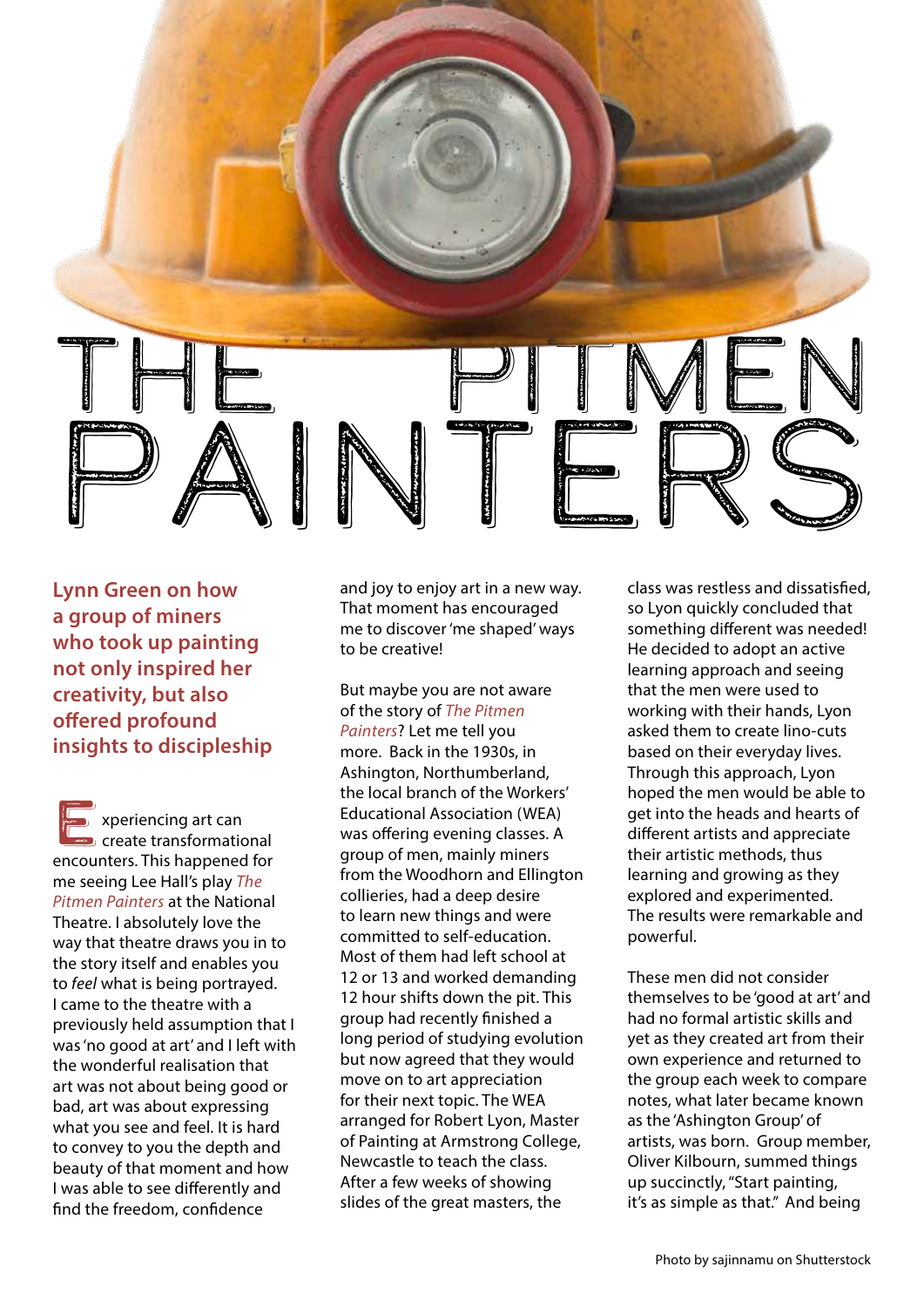

**Lynn Green on how a group of miners who took up painting not only inspired her creativity, but also offered profound insights to discipleship**

xperiencing art can **Create transformational** Encounters. This happened for me seeing Lee Hall's play *The Pitmen Painters* at the National Theatre. I absolutely love the way that theatre draws you in to the story itself and enables you to *feel* what is being portrayed. I came to the theatre with a previously held assumption that I was 'no good at art' and I left with the wonderful realisation that art was not about being good or bad, art was about expressing what you see and feel. It is hard to convey to you the depth and beauty of that moment and how I was able to see differently and find the freedom, confidence

and joy to enjoy art in a new way. That moment has encouraged me to discover 'me shaped' ways to be creative!

But maybe you are not aware of the story of *The Pitmen Painters*? Let me tell you more. Back in the 1930s, in Ashington, Northumberland, the local branch of the Workers' Educational Association (WEA) was offering evening classes. A group of men, mainly miners from the Woodhorn and Ellington collieries, had a deep desire to learn new things and were committed to self-education. Most of them had left school at 12 or 13 and worked demanding 12 hour shifts down the pit. This group had recently finished a long period of studying evolution but now agreed that they would move on to art appreciation for their next topic. The WEA arranged for Robert Lyon, Master of Painting at Armstrong College, Newcastle to teach the class. After a few weeks of showing slides of the great masters, the

class was restless and dissatisfied, so Lyon quickly concluded that something different was needed! He decided to adopt an active learning approach and seeing that the men were used to working with their hands, Lyon asked them to create lino-cuts based on their everyday lives. Through this approach, Lyon hoped the men would be able to get into the heads and hearts of different artists and appreciate their artistic methods, thus learning and growing as they explored and experimented. The results were remarkable and powerful.

These men did not consider themselves to be 'good at art' and had no formal artistic skills and yet as they created art from their own experience and returned to the group each week to compare notes, what later became known as the 'Ashington Group' of artists, was born. Group member, Oliver Kilbourn, summed things up succinctly, "Start painting, it's as simple as that." And being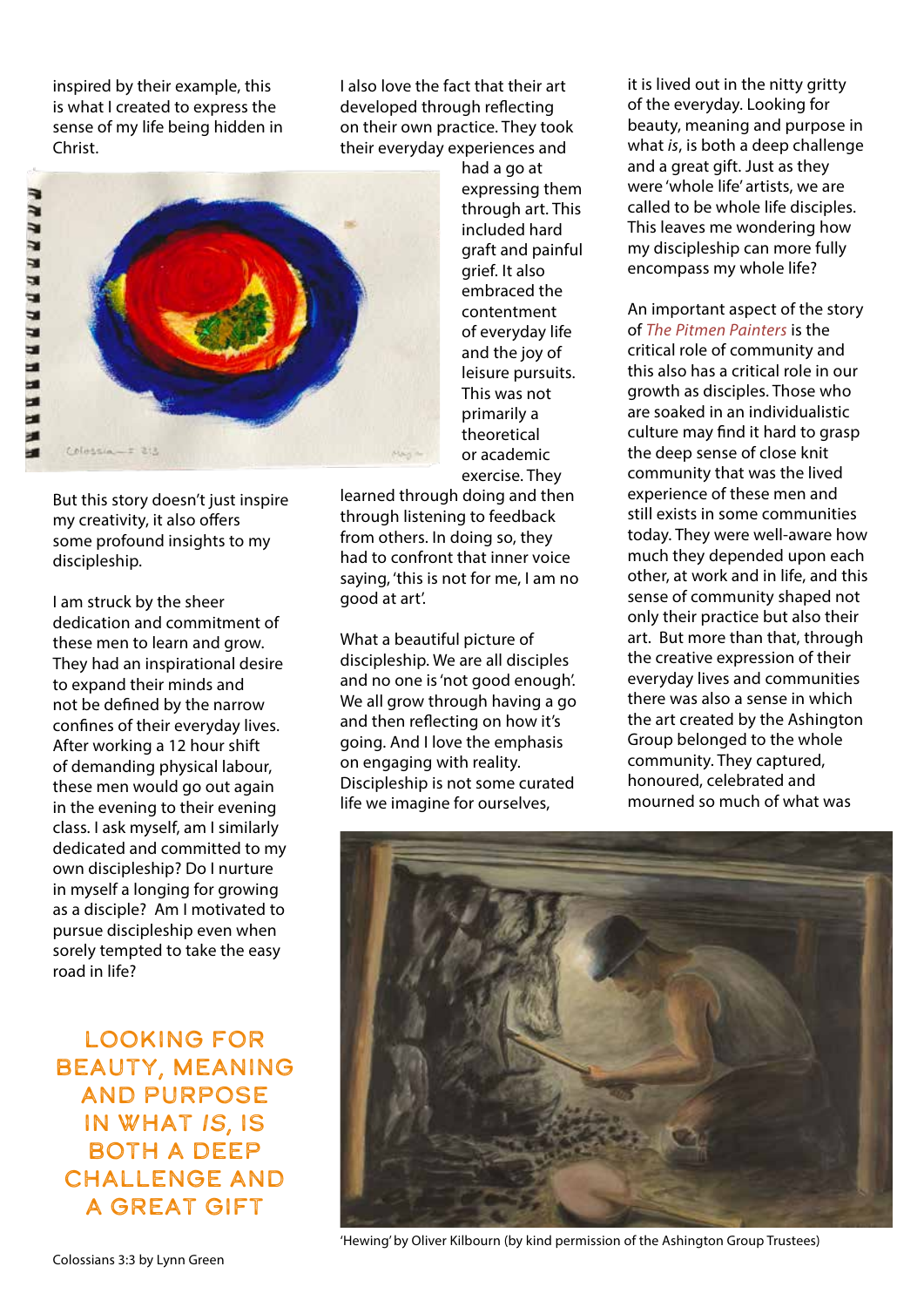inspired by their example, this is what I created to express the sense of my life being hidden in Christ.

I also love the fact that their art developed through reflecting on their own practice. They took their everyday experiences and



But this story doesn't just inspire my creativity, it also offers some profound insights to my discipleship.

I am struck by the sheer dedication and commitment of these men to learn and grow. They had an inspirational desire to expand their minds and not be defined by the narrow confines of their everyday lives. After working a 12 hour shift of demanding physical labour, these men would go out again in the evening to their evening class. I ask myself, am I similarly dedicated and committed to my own discipleship? Do I nurture in myself a longing for growing as a disciple? Am I motivated to pursue discipleship even when sorely tempted to take the easy road in life?

Looking for beauty, meaning and purpose in what is, is both a deep challenge and a great gift

had a go at expressing them through art. This included hard graft and painful grief. It also embraced the contentment of everyday life and the joy of leisure pursuits. This was not primarily a theoretical or academic exercise. They

learned through doing and then through listening to feedback from others. In doing so, they had to confront that inner voice saying, 'this is not for me, I am no good at art'.

What a beautiful picture of discipleship. We are all disciples and no one is 'not good enough'. We all grow through having a go and then reflecting on how it's going. And I love the emphasis on engaging with reality. Discipleship is not some curated life we imagine for ourselves,

it is lived out in the nitty gritty of the everyday. Looking for beauty, meaning and purpose in what *is*, is both a deep challenge and a great gift. Just as they were 'whole life' artists, we are called to be whole life disciples. This leaves me wondering how my discipleship can more fully encompass my whole life?

An important aspect of the story of *The Pitmen Painters* is the critical role of community and this also has a critical role in our growth as disciples. Those who are soaked in an individualistic culture may find it hard to grasp the deep sense of close knit community that was the lived experience of these men and still exists in some communities today. They were well-aware how much they depended upon each other, at work and in life, and this sense of community shaped not only their practice but also their art. But more than that, through the creative expression of their everyday lives and communities there was also a sense in which the art created by the Ashington Group belonged to the whole community. They captured, honoured, celebrated and mourned so much of what was



'Hewing' by Oliver Kilbourn (by kind permission of the Ashington Group Trustees)